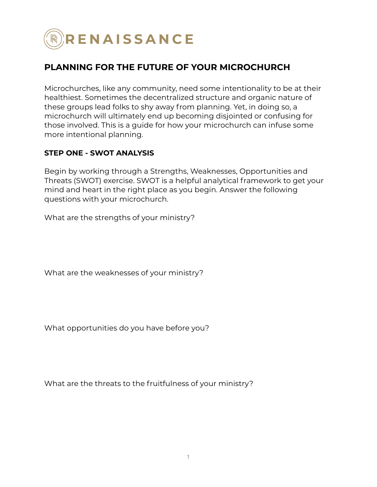

# **PLANNING FOR THE FUTURE OF YOUR MICROCHURCH**

Microchurches, like any community, need some intentionality to be at their healthiest. Sometimes the decentralized structure and organic nature of these groups lead folks to shy away from planning. Yet, in doing so, a microchurch will ultimately end up becoming disjointed or confusing for those involved. This is a guide for how your microchurch can infuse some more intentional planning.

#### **STEP ONE - SWOT ANALYSIS**

Begin by working through a Strengths, Weaknesses, Opportunities and Threats (SWOT) exercise. SWOT is a helpful analytical framework to get your mind and heart in the right place as you begin. Answer the following questions with your microchurch.

What are the strengths of your ministry?

What are the weaknesses of your ministry?

What opportunities do you have before you?

What are the threats to the fruitfulness of your ministry?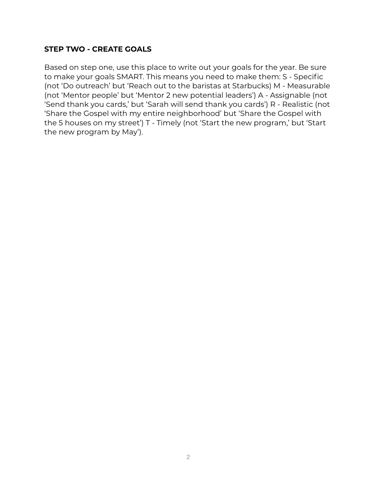#### **STEP TWO - CREATE GOALS**

Based on step one, use this place to write out your goals for the year. Be sure to make your goals SMART. This means you need to make them: S - Specific (not 'Do outreach' but 'Reach out to the baristas at Starbucks) M - Measurable (not 'Mentor people' but 'Mentor 2 new potential leaders') A - Assignable (not 'Send thank you cards,' but 'Sarah will send thank you cards') R - Realistic (not 'Share the Gospel with my entire neighborhood' but 'Share the Gospel with the 5 houses on my street') T - Timely (not 'Start the new program,' but 'Start the new program by May').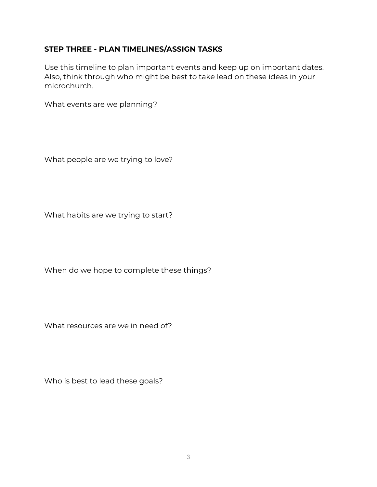### **STEP THREE - PLAN TIMELINES/ASSIGN TASKS**

Use this timeline to plan important events and keep up on important dates. Also, think through who might be best to take lead on these ideas in your microchurch.

What events are we planning?

What people are we trying to love?

What habits are we trying to start?

When do we hope to complete these things?

What resources are we in need of?

Who is best to lead these goals?